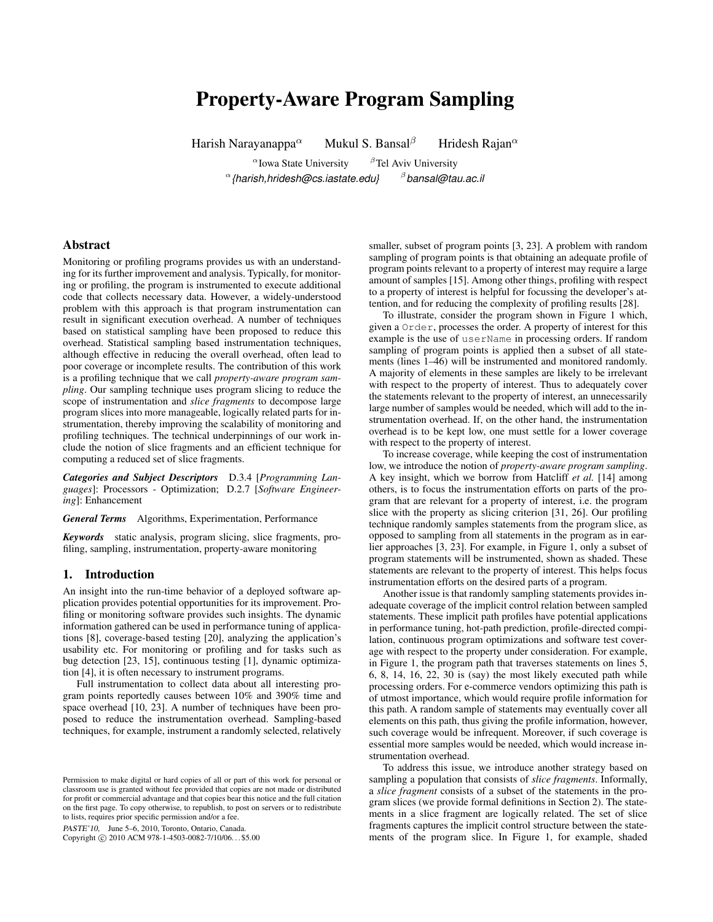# Property-Aware Program Sampling

Harish Narayanappa $\alpha$  Mukul S. Bansal<sup> $\beta$ </sup> Hridesh Rajan<sup> $\alpha$ </sup>

 $\alpha$ Iowa State University  $\beta$ Tel Aviv University  $^{\alpha}$ {harish,hridesh@cs.iastate.edu} <sup>β</sup> *bansal@tau.ac.il*

### Abstract

Monitoring or profiling programs provides us with an understanding for its further improvement and analysis. Typically, for monitoring or profiling, the program is instrumented to execute additional code that collects necessary data. However, a widely-understood problem with this approach is that program instrumentation can result in significant execution overhead. A number of techniques based on statistical sampling have been proposed to reduce this overhead. Statistical sampling based instrumentation techniques, although effective in reducing the overall overhead, often lead to poor coverage or incomplete results. The contribution of this work is a profiling technique that we call *property-aware program sampling*. Our sampling technique uses program slicing to reduce the scope of instrumentation and *slice fragments* to decompose large program slices into more manageable, logically related parts for instrumentation, thereby improving the scalability of monitoring and profiling techniques. The technical underpinnings of our work include the notion of slice fragments and an efficient technique for computing a reduced set of slice fragments.

*Categories and Subject Descriptors* D.3.4 [*Programming Languages*]: Processors - Optimization; D.2.7 [*Software Engineering*]: Enhancement

*General Terms* Algorithms, Experimentation, Performance

*Keywords* static analysis, program slicing, slice fragments, profiling, sampling, instrumentation, property-aware monitoring

# 1. Introduction

An insight into the run-time behavior of a deployed software application provides potential opportunities for its improvement. Profiling or monitoring software provides such insights. The dynamic information gathered can be used in performance tuning of applications [8], coverage-based testing [20], analyzing the application's usability etc. For monitoring or profiling and for tasks such as bug detection [23, 15], continuous testing [1], dynamic optimization [4], it is often necessary to instrument programs.

Full instrumentation to collect data about all interesting program points reportedly causes between 10% and 390% time and space overhead [10, 23]. A number of techniques have been proposed to reduce the instrumentation overhead. Sampling-based techniques, for example, instrument a randomly selected, relatively

PASTE'10, June 5–6, 2010, Toronto, Ontario, Canada.

Copyright © 2010 ACM 978-1-4503-0082-7/10/06... \$5.00

smaller, subset of program points [3, 23]. A problem with random sampling of program points is that obtaining an adequate profile of program points relevant to a property of interest may require a large amount of samples [15]. Among other things, profiling with respect to a property of interest is helpful for focussing the developer's attention, and for reducing the complexity of profiling results [28].

To illustrate, consider the program shown in Figure 1 which, given a Order, processes the order. A property of interest for this example is the use of userName in processing orders. If random sampling of program points is applied then a subset of all statements (lines 1–46) will be instrumented and monitored randomly. A majority of elements in these samples are likely to be irrelevant with respect to the property of interest. Thus to adequately cover the statements relevant to the property of interest, an unnecessarily large number of samples would be needed, which will add to the instrumentation overhead. If, on the other hand, the instrumentation overhead is to be kept low, one must settle for a lower coverage with respect to the property of interest.

To increase coverage, while keeping the cost of instrumentation low, we introduce the notion of *property-aware program sampling*. A key insight, which we borrow from Hatcliff *et al.* [14] among others, is to focus the instrumentation efforts on parts of the program that are relevant for a property of interest, i.e. the program slice with the property as slicing criterion [31, 26]. Our profiling technique randomly samples statements from the program slice, as opposed to sampling from all statements in the program as in earlier approaches [3, 23]. For example, in Figure 1, only a subset of program statements will be instrumented, shown as shaded. These statements are relevant to the property of interest. This helps focus instrumentation efforts on the desired parts of a program.

Another issue is that randomly sampling statements provides inadequate coverage of the implicit control relation between sampled statements. These implicit path profiles have potential applications in performance tuning, hot-path prediction, profile-directed compilation, continuous program optimizations and software test coverage with respect to the property under consideration. For example, in Figure 1, the program path that traverses statements on lines 5, 6, 8, 14, 16, 22, 30 is (say) the most likely executed path while processing orders. For e-commerce vendors optimizing this path is of utmost importance, which would require profile information for this path. A random sample of statements may eventually cover all elements on this path, thus giving the profile information, however, such coverage would be infrequent. Moreover, if such coverage is essential more samples would be needed, which would increase instrumentation overhead.

To address this issue, we introduce another strategy based on sampling a population that consists of *slice fragments*. Informally, a *slice fragment* consists of a subset of the statements in the program slices (we provide formal definitions in Section 2). The statements in a slice fragment are logically related. The set of slice fragments captures the implicit control structure between the statements of the program slice. In Figure 1, for example, shaded

Permission to make digital or hard copies of all or part of this work for personal or classroom use is granted without fee provided that copies are not made or distributed for profit or commercial advantage and that copies bear this notice and the full citation on the first page. To copy otherwise, to republish, to post on servers or to redistribute to lists, requires prior specific permission and/or a fee.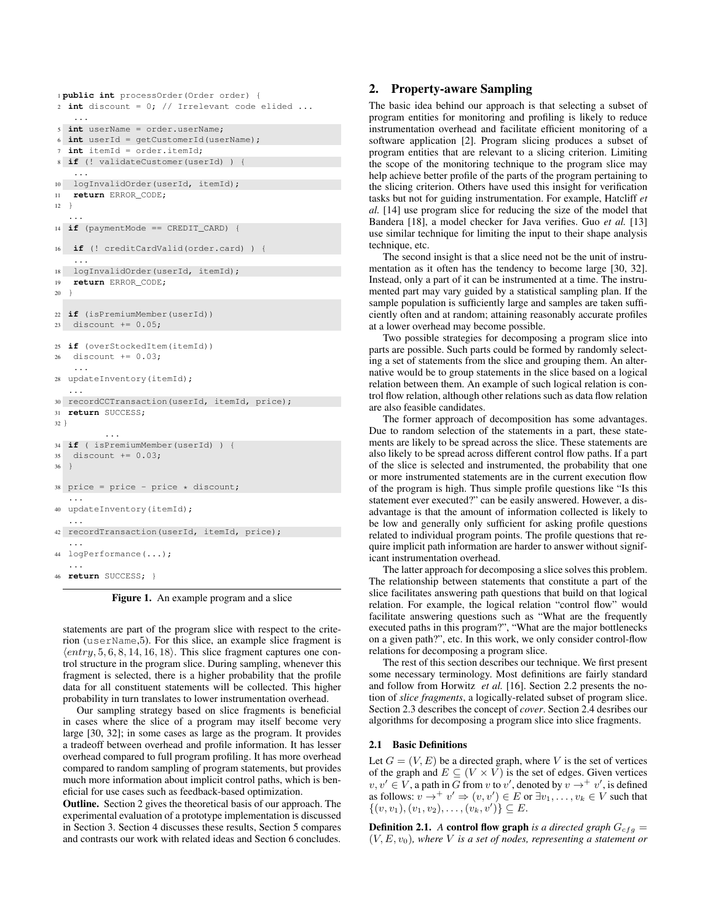```
1 public int processOrder(Order order) {
2 int discount = 0; // Irrelevant code elided ...
    ...
5 int userName = order.userName;
6 int userId = getCustomerId(userName);
7 int itemId = order.itemId;
8 if (! validateCustomer(userId) ) {
    ...
10 logInvalidOrder(userId, itemId);
11 return ERROR_CODE;
12 }
  ...
14 if (paymentMode == CREDIT_CARD) {
16 if (! creditCardValid(order.card) ) {
    ...
18 logInvalidOrder(userId, itemId);
19 return ERROR_CODE;
20 }
22 if (isPremiumMember(userId))
23 discount += 0.05;25 if (overStockedItem(itemId))
26 discount += 0.03;...
28 updateInventory(itemId);
  ...
30 recordCCTransaction(userId, itemId, price);
31 return SUCCESS;
32 }
          ...
34 if ( isPremiumMember(userId) ) {
35 discount += 0.03;
36 }
38 price = price - price * discount;
40 updateInventory(itemId);
  ...
42 recordTransaction(userId, itemId, price);
  ...
44 logPerformance(...);
  ...
46 return SUCCESS; }
```
Figure 1. An example program and a slice

statements are part of the program slice with respect to the criterion (userName,5). For this slice, an example slice fragment is  $\langle entry, 5, 6, 8, 14, 16, 18 \rangle$ . This slice fragment captures one control structure in the program slice. During sampling, whenever this fragment is selected, there is a higher probability that the profile data for all constituent statements will be collected. This higher probability in turn translates to lower instrumentation overhead.

Our sampling strategy based on slice fragments is beneficial in cases where the slice of a program may itself become very large [30, 32]; in some cases as large as the program. It provides a tradeoff between overhead and profile information. It has lesser overhead compared to full program profiling. It has more overhead compared to random sampling of program statements, but provides much more information about implicit control paths, which is beneficial for use cases such as feedback-based optimization.

Outline. Section 2 gives the theoretical basis of our approach. The experimental evaluation of a prototype implementation is discussed in Section 3. Section 4 discusses these results, Section 5 compares and contrasts our work with related ideas and Section 6 concludes.

# 2. Property-aware Sampling

The basic idea behind our approach is that selecting a subset of program entities for monitoring and profiling is likely to reduce instrumentation overhead and facilitate efficient monitoring of a software application [2]. Program slicing produces a subset of program entities that are relevant to a slicing criterion. Limiting the scope of the monitoring technique to the program slice may help achieve better profile of the parts of the program pertaining to the slicing criterion. Others have used this insight for verification tasks but not for guiding instrumentation. For example, Hatcliff *et al.* [14] use program slice for reducing the size of the model that Bandera [18], a model checker for Java verifies. Guo *et al.* [13] use similar technique for limiting the input to their shape analysis technique, etc.

The second insight is that a slice need not be the unit of instrumentation as it often has the tendency to become large [30, 32]. Instead, only a part of it can be instrumented at a time. The instrumented part may vary guided by a statistical sampling plan. If the sample population is sufficiently large and samples are taken sufficiently often and at random; attaining reasonably accurate profiles at a lower overhead may become possible.

Two possible strategies for decomposing a program slice into parts are possible. Such parts could be formed by randomly selecting a set of statements from the slice and grouping them. An alternative would be to group statements in the slice based on a logical relation between them. An example of such logical relation is control flow relation, although other relations such as data flow relation are also feasible candidates.

The former approach of decomposition has some advantages. Due to random selection of the statements in a part, these statements are likely to be spread across the slice. These statements are also likely to be spread across different control flow paths. If a part of the slice is selected and instrumented, the probability that one or more instrumented statements are in the current execution flow of the program is high. Thus simple profile questions like "Is this statement ever executed?" can be easily answered. However, a disadvantage is that the amount of information collected is likely to be low and generally only sufficient for asking profile questions related to individual program points. The profile questions that require implicit path information are harder to answer without significant instrumentation overhead.

The latter approach for decomposing a slice solves this problem. The relationship between statements that constitute a part of the slice facilitates answering path questions that build on that logical relation. For example, the logical relation "control flow" would facilitate answering questions such as "What are the frequently executed paths in this program?", "What are the major bottlenecks on a given path?", etc. In this work, we only consider control-flow relations for decomposing a program slice.

The rest of this section describes our technique. We first present some necessary terminology. Most definitions are fairly standard and follow from Horwitz *et al.* [16]. Section 2.2 presents the notion of *slice fragments*, a logically-related subset of program slice. Section 2.3 describes the concept of *cover*. Section 2.4 desribes our algorithms for decomposing a program slice into slice fragments.

### 2.1 Basic Definitions

Let  $G = (V, E)$  be a directed graph, where V is the set of vertices of the graph and  $E \subseteq (V \times V)$  is the set of edges. Given vertices  $v, v' \in V$ , a path in G from v to v', denoted by  $v \to^+ v'$ , is defined as follows:  $v \to^+ v' \Rightarrow (v, v') \in E$  or  $\exists v_1, \ldots, v_k \in V$  such that  $\{(v, v_1), (v_1, v_2), \ldots, (v_k, v')\} \subseteq E.$ 

**Definition 2.1.** *A* control flow graph *is a directed graph*  $G_{cf\alpha}$  = (V, E, v0)*, where* V *is a set of nodes, representing a statement or*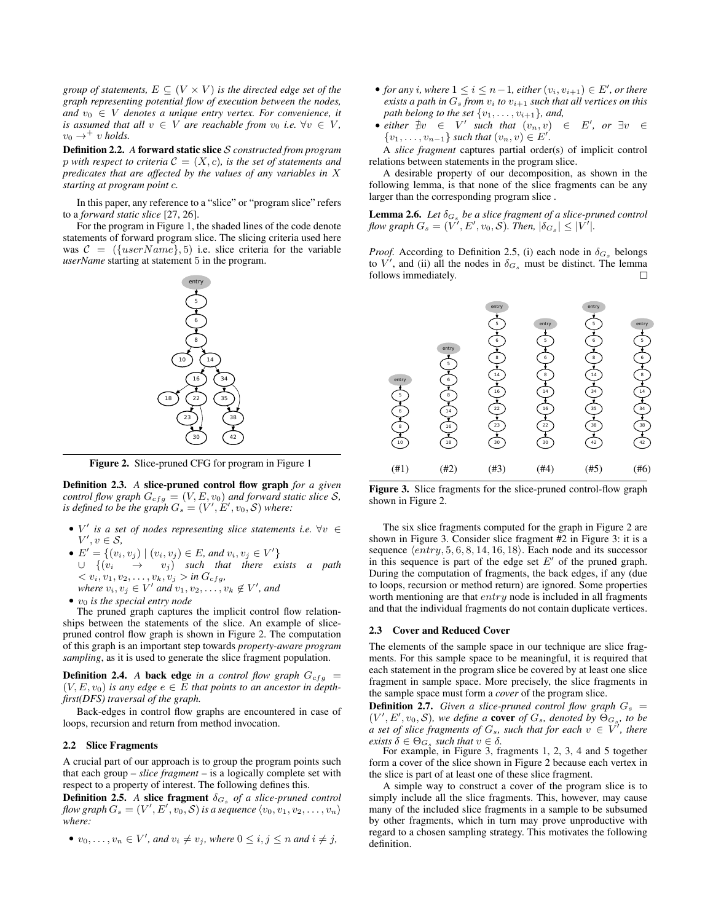*group of statements,*  $E \subseteq (V \times V)$  *is the directed edge set of the graph representing potential flow of execution between the nodes, and*  $v_0 \in V$  *denotes a unique entry vertex. For convenience, it is assumed that all*  $v \in V$  *are reachable from*  $v_0$  *i.e.*  $\forall v \in V$ *,*  $v_0 \rightarrow^+ v$  *holds.* 

Definition 2.2. *A* forward static slice S *constructed from program* p with respect to criteria  $\mathcal{C} = (X, c)$ , is the set of statements and *predicates that are affected by the values of any variables in* X *starting at program point* c*.*

In this paper, any reference to a "slice" or "program slice" refers to a *forward static slice* [27, 26].

For the program in Figure 1, the shaded lines of the code denote statements of forward program slice. The slicing criteria used here was  $C = (\{userName\}, 5)$  i.e. slice criteria for the variable *userName* starting at statement 5 in the program.

Figure 2. Slice-pruned CFG for program in Figure 1

Definition 2.3. *A* slice-pruned control flow graph *for a given control flow graph*  $G_{cfg} = (V, E, v_0)$  *and forward static slice S*, is defined to be the graph  $G_s = (V', E', v_0, S)$  where:

- V 0 *is a set of nodes representing slice statements i.e.* ∀v ∈  $V', v \in \mathcal{S},$
- $E' = \{(v_i, v_j) \mid (v_i, v_j) \in E$ , and  $v_i, v_j \in V'\}$
- $∪ \{(v_i \rightarrow v_j)$  such that there exists a path  $v_1, v_1, v_2, \ldots, v_k, v_j > in G_{cfg},$ *where*  $v_i, v_j \in V'$  and  $v_1, v_2, \ldots, v_k \notin V'$ , and
- v<sup>0</sup> *is the special entry node*

The pruned graph captures the implicit control flow relationships between the statements of the slice. An example of slicepruned control flow graph is shown in Figure 2. The computation of this graph is an important step towards *property-aware program sampling*, as it is used to generate the slice fragment population.

**Definition 2.4.** A back edge in a control flow graph  $G_{cfq}$  =  $(V, E, v_0)$  *is any edge*  $e \in E$  *that points to an ancestor in depthfirst(DFS) traversal of the graph.*

Back-edges in control flow graphs are encountered in case of loops, recursion and return from method invocation.

#### 2.2 Slice Fragments

A crucial part of our approach is to group the program points such that each group – *slice fragment* – is a logically complete set with respect to a property of interest. The following defines this.

**Definition 2.5.** *A* slice fragment  $\delta_{G_s}$  of a slice-pruned control *flow graph*  $G_s = (V', E', v_0, S)$  *is a sequence*  $\langle v_0, v_1, v_2, \ldots, v_n \rangle$ *where:*

•  $v_0, \ldots, v_n \in V'$ , and  $v_i \neq v_j$ , where  $0 \leq i, j \leq n$  and  $i \neq j$ ,

- *for any i*, where  $1 \leq i \leq n-1$ , either  $(v_i, v_{i+1}) \in E'$ , or there *exists a path in*  $G_s$  *from*  $v_i$  *to*  $v_{i+1}$  *such that all vertices on this path belong to the set*  $\{v_1, \ldots, v_{i+1}\}$ *, and,*
- *either*  $\exists v \in V'$  such that  $(v_n, v) \in E'$ , or  $\exists v \in V$ { $v_1, ..., v_{n-1}$ } *such that*  $(v_n, v) ∈ E'$ .

A *slice fragment* captures partial order(s) of implicit control relations between statements in the program slice.

A desirable property of our decomposition, as shown in the following lemma, is that none of the slice fragments can be any larger than the corresponding program slice .

**Lemma 2.6.** Let  $\delta_{G_s}$  be a slice fragment of a slice-pruned control flow graph  $G_s = (V', E', v_0, S)$ . Then,  $|\delta_{G_s}| \leq |V'|$ .

*Proof.* According to Definition 2.5, (i) each node in  $\delta_{G_s}$  belongs to  $V'$ , and (ii) all the nodes in  $\delta_{G_s}$  must be distinct. The lemma follows immediately.



Figure 3. Slice fragments for the slice-pruned control-flow graph shown in Figure 2.

The six slice fragments computed for the graph in Figure 2 are shown in Figure 3. Consider slice fragment #2 in Figure 3: it is a sequence  $\langle entry, 5, 6, 8, 14, 16, 18 \rangle$ . Each node and its successor in this sequence is part of the edge set  $E'$  of the pruned graph. During the computation of fragments, the back edges, if any (due to loops, recursion or method return) are ignored. Some properties worth mentioning are that entry node is included in all fragments and that the individual fragments do not contain duplicate vertices.

### 2.3 Cover and Reduced Cover

The elements of the sample space in our technique are slice fragments. For this sample space to be meaningful, it is required that each statement in the program slice be covered by at least one slice fragment in sample space. More precisely, the slice fragments in the sample space must form a *cover* of the program slice.

**Definition 2.7.** *Given a slice-pruned control flow graph*  $G_s$  =  $(V', E', v_0, S)$ , we define a **cover** of  $G_s$ , denoted by  $\Theta_{G_s}$ , to be *a set of slice fragments of*  $G_s$ , such that for each  $v \in V'$ , there *exists*  $\delta \in \Theta_{G_s}$  *such that*  $v \in \delta$ *.* 

For example, in Figure 3, fragments 1, 2, 3, 4 and 5 together form a cover of the slice shown in Figure 2 because each vertex in the slice is part of at least one of these slice fragment.

A simple way to construct a cover of the program slice is to simply include all the slice fragments. This, however, may cause many of the included slice fragments in a sample to be subsumed by other fragments, which in turn may prove unproductive with regard to a chosen sampling strategy. This motivates the following definition.

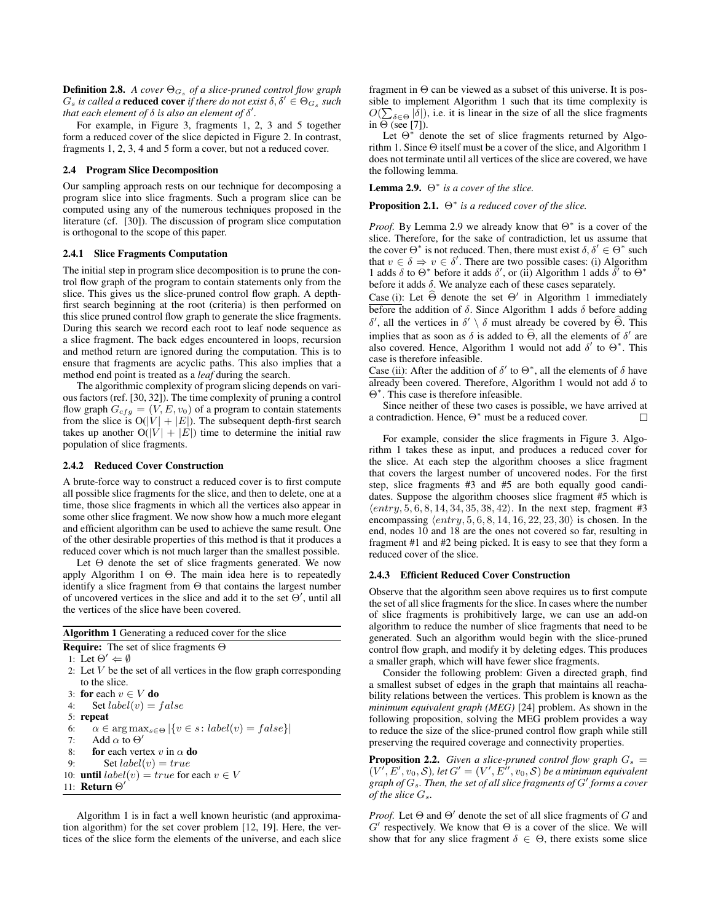**Definition 2.8.** *A cover*  $\Theta_{G_s}$  *of a slice-pruned control flow graph*  $G_s$  is called a **reduced cover** if there do not exist  $\delta, \delta' \in \Theta_{G_s}$  such that each element of  $\delta$  is also an element of  $\delta'$ .

For example, in Figure 3, fragments 1, 2, 3 and 5 together form a reduced cover of the slice depicted in Figure 2. In contrast, fragments 1, 2, 3, 4 and 5 form a cover, but not a reduced cover.

### 2.4 Program Slice Decomposition

Our sampling approach rests on our technique for decomposing a program slice into slice fragments. Such a program slice can be computed using any of the numerous techniques proposed in the literature (cf. [30]). The discussion of program slice computation is orthogonal to the scope of this paper.

### 2.4.1 Slice Fragments Computation

The initial step in program slice decomposition is to prune the control flow graph of the program to contain statements only from the slice. This gives us the slice-pruned control flow graph. A depthfirst search beginning at the root (criteria) is then performed on this slice pruned control flow graph to generate the slice fragments. During this search we record each root to leaf node sequence as a slice fragment. The back edges encountered in loops, recursion and method return are ignored during the computation. This is to ensure that fragments are acyclic paths. This also implies that a method end point is treated as a *leaf* during the search.

The algorithmic complexity of program slicing depends on various factors (ref. [30, 32]). The time complexity of pruning a control flow graph  $G_{cfg} = (V, E, v_0)$  of a program to contain statements from the slice is  $O(|V| + |E|)$ . The subsequent depth-first search takes up another  $O(|V| + |E|)$  time to determine the initial raw population of slice fragments.

### 2.4.2 Reduced Cover Construction

A brute-force way to construct a reduced cover is to first compute all possible slice fragments for the slice, and then to delete, one at a time, those slice fragments in which all the vertices also appear in some other slice fragment. We now show how a much more elegant and efficient algorithm can be used to achieve the same result. One of the other desirable properties of this method is that it produces a reduced cover which is not much larger than the smallest possible.

Let Θ denote the set of slice fragments generated. We now apply Algorithm 1 on Θ. The main idea here is to repeatedly identify a slice fragment from  $\Theta$  that contains the largest number of uncovered vertices in the slice and add it to the set  $\Theta'$ , until all the vertices of the slice have been covered.

# Algorithm 1 Generating a reduced cover for the slice

Require: The set of slice fragments Θ 1: Let  $\Theta' \Leftarrow \emptyset$ 2: Let  $V$  be the set of all vertices in the flow graph corresponding to the slice. 3: for each  $v \in V$  do 4: Set  $label(v) = false$ 5: repeat 6:  $\alpha \in \arg\max_{s \in \Theta} |\{v \in s : label(v) = false\}|$ 7: Add  $\alpha$  to  $\Theta'$ 8: **for** each vertex v in  $\alpha$  do 9: Set  $label(v) = true$ 10: **until**  $label(v) = true$  for each  $v \in V$ 11: **Return**  $\Theta'$ 

Algorithm 1 is in fact a well known heuristic (and approximation algorithm) for the set cover problem [12, 19]. Here, the vertices of the slice form the elements of the universe, and each slice fragment in Θ can be viewed as a subset of this universe. It is possible to implement Algorithm 1 such that its time complexity is  $O(\sum_{\delta \in \Theta} |\delta|)$ , i.e. it is linear in the size of all the slice fragments in  $\Theta$  (see [7]).

Let  $\Theta^*$  denote the set of slice fragments returned by Algorithm 1. Since  $\Theta$  itself must be a cover of the slice, and Algorithm 1 does not terminate until all vertices of the slice are covered, we have the following lemma.

**Lemma 2.9.**  $\Theta^*$  is a cover of the slice.

**Proposition 2.1.**  $\Theta^*$  is a reduced cover of the slice.

*Proof.* By Lemma 2.9 we already know that  $\Theta^*$  is a cover of the slice. Therefore, for the sake of contradiction, let us assume that the cover  $\Theta^*$  is not reduced. Then, there must exist  $\delta, \delta' \in \Theta^*$  such that  $v \in \delta \Rightarrow v \in \delta'$ . There are two possible cases: (i) Algorithm 1 adds  $\delta$  to  $\Theta^*$  before it adds  $\delta'$ , or (ii) Algorithm 1 adds  $\delta'$  to  $\Theta^*$ before it adds  $\delta$ . We analyze each of these cases separately.

Case (i): Let  $\widehat{\Theta}$  denote the set  $\Theta'$  in Algorithm 1 immediately before the addition of  $\delta$ . Since Algorithm 1 adds  $\delta$  before adding  $\delta'$ , all the vertices in  $\delta' \setminus \delta$  must already be covered by  $\widehat{\Theta}$ . This implies that as soon as  $\delta$  is added to  $\hat{\Theta}$ , all the elements of  $\delta'$  are also covered. Hence, Algorithm 1 would not add  $\delta'$  to  $\Theta^*$ . This case is therefore infeasible.

Case (ii): After the addition of  $\delta'$  to  $\Theta^*$ , all the elements of  $\delta$  have already been covered. Therefore, Algorithm 1 would not add  $\delta$  to Θ ∗ . This case is therefore infeasible.

Since neither of these two cases is possible, we have arrived at a contradiction. Hence,  $\Theta^*$  must be a reduced cover.  $\Box$ 

For example, consider the slice fragments in Figure 3. Algorithm 1 takes these as input, and produces a reduced cover for the slice. At each step the algorithm chooses a slice fragment that covers the largest number of uncovered nodes. For the first step, slice fragments #3 and #5 are both equally good candidates. Suppose the algorithm chooses slice fragment #5 which is  $\langle entry, 5, 6, 8, 14, 34, 35, 38, 42 \rangle$ . In the next step, fragment #3 encompassing  $\langle entry, 5, 6, 8, 14, 16, 22, 23, 30 \rangle$  is chosen. In the end, nodes 10 and 18 are the ones not covered so far, resulting in fragment #1 and #2 being picked. It is easy to see that they form a reduced cover of the slice.

### 2.4.3 Efficient Reduced Cover Construction

Observe that the algorithm seen above requires us to first compute the set of all slice fragments for the slice. In cases where the number of slice fragments is prohibitively large, we can use an add-on algorithm to reduce the number of slice fragments that need to be generated. Such an algorithm would begin with the slice-pruned control flow graph, and modify it by deleting edges. This produces a smaller graph, which will have fewer slice fragments.

Consider the following problem: Given a directed graph, find a smallest subset of edges in the graph that maintains all reachability relations between the vertices. This problem is known as the *minimum equivalent graph (MEG)* [24] problem. As shown in the following proposition, solving the MEG problem provides a way to reduce the size of the slice-pruned control flow graph while still preserving the required coverage and connectivity properties.

**Proposition 2.2.** *Given a slice-pruned control flow graph*  $G_s =$  $(V', E', v_0, S)$ , let  $G' = (V', E'', v_0, S)$  be a minimum equivalent *graph of* Gs*. Then, the set of all slice fragments of* G 0 *forms a cover of the slice*  $G_s$ .

*Proof.* Let  $\Theta$  and  $\Theta'$  denote the set of all slice fragments of G and  $G'$  respectively. We know that  $\Theta$  is a cover of the slice. We will show that for any slice fragment  $\delta \in \Theta$ , there exists some slice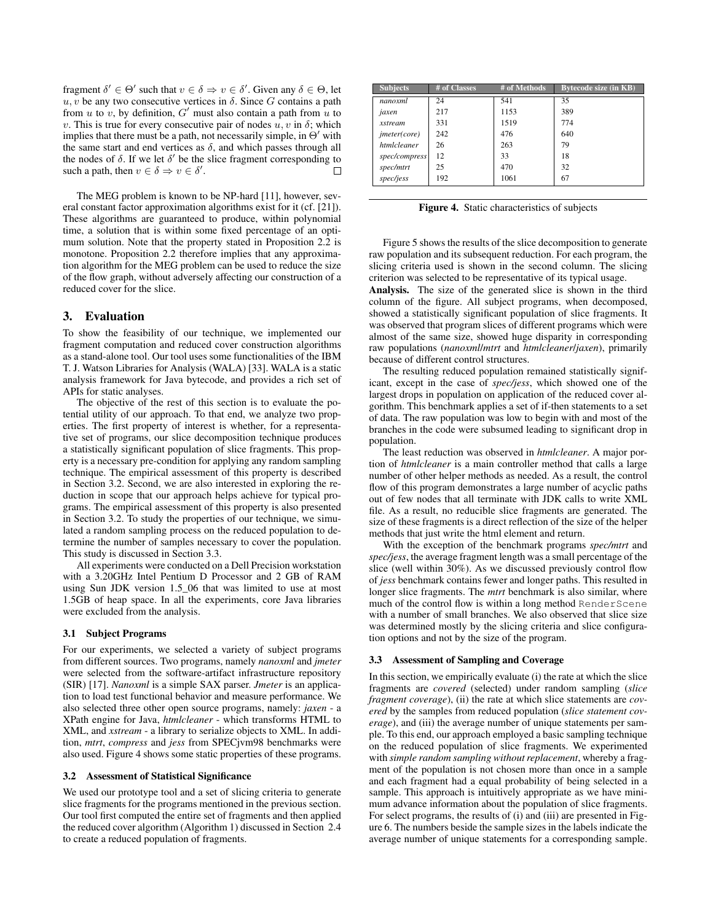fragment  $\delta' \in \Theta'$  such that  $v \in \delta \Rightarrow v \in \delta'$ . Given any  $\delta \in \Theta$ , let  $u, v$  be any two consecutive vertices in  $\delta$ . Since G contains a path from  $u$  to  $v$ , by definition,  $G'$  must also contain a path from  $u$  to v. This is true for every consecutive pair of nodes  $u, v$  in  $\delta$ ; which implies that there must be a path, not necessarily simple, in  $\Theta'$  with the same start and end vertices as  $\delta$ , and which passes through all the nodes of  $\delta$ . If we let  $\delta'$  be the slice fragment corresponding to such a path, then  $v \in \delta \Rightarrow v \in \delta'$ .  $\Box$ 

The MEG problem is known to be NP-hard [11], however, several constant factor approximation algorithms exist for it (cf. [21]). These algorithms are guaranteed to produce, within polynomial time, a solution that is within some fixed percentage of an optimum solution. Note that the property stated in Proposition 2.2 is monotone. Proposition 2.2 therefore implies that any approximation algorithm for the MEG problem can be used to reduce the size of the flow graph, without adversely affecting our construction of a reduced cover for the slice.

## 3. Evaluation

To show the feasibility of our technique, we implemented our fragment computation and reduced cover construction algorithms as a stand-alone tool. Our tool uses some functionalities of the IBM T. J. Watson Libraries for Analysis (WALA) [33]. WALA is a static analysis framework for Java bytecode, and provides a rich set of APIs for static analyses.

The objective of the rest of this section is to evaluate the potential utility of our approach. To that end, we analyze two properties. The first property of interest is whether, for a representative set of programs, our slice decomposition technique produces a statistically significant population of slice fragments. This property is a necessary pre-condition for applying any random sampling technique. The empirical assessment of this property is described in Section 3.2. Second, we are also interested in exploring the reduction in scope that our approach helps achieve for typical programs. The empirical assessment of this property is also presented in Section 3.2. To study the properties of our technique, we simulated a random sampling process on the reduced population to determine the number of samples necessary to cover the population. This study is discussed in Section 3.3.

All experiments were conducted on a Dell Precision workstation with a 3.20GHz Intel Pentium D Processor and 2 GB of RAM using Sun JDK version 1.5\_06 that was limited to use at most 1.5GB of heap space. In all the experiments, core Java libraries were excluded from the analysis.

### 3.1 Subject Programs

For our experiments, we selected a variety of subject programs from different sources. Two programs, namely *nanoxml* and *jmeter* were selected from the software-artifact infrastructure repository (SIR) [17]. *Nanoxml* is a simple SAX parser. *Jmeter* is an application to load test functional behavior and measure performance. We also selected three other open source programs, namely: *jaxen* - a XPath engine for Java, *htmlcleaner* - which transforms HTML to XML, and *xstream* - a library to serialize objects to XML. In addition, *mtrt*, *compress* and *jess* from SPECjvm98 benchmarks were also used. Figure 4 shows some static properties of these programs.

### 3.2 Assessment of Statistical Significance

We used our prototype tool and a set of slicing criteria to generate slice fragments for the programs mentioned in the previous section. Our tool first computed the entire set of fragments and then applied the reduced cover algorithm (Algorithm 1) discussed in Section 2.4 to create a reduced population of fragments.

| <b>Subjects</b>         | # of Classes | # of Methods | <b>Bytecode size (in KB)</b> |
|-------------------------|--------------|--------------|------------------------------|
| nanoxml                 | 24           | 541          | 35                           |
| jaxen                   | 217          | 1153         | 389                          |
| xstream                 | 331          | 1519         | 774                          |
| $j$ <i>imeter(core)</i> | 242          | 476          | 640                          |
| htmlcleaner             | 26           | 263          | 79                           |
| spec/compress           | 12           | 33           | 18                           |
| spec/mtrt               | 25           | 470          | 32                           |
| spec/jess               | 192          | 1061         | 67                           |

Figure 4. Static characteristics of subjects

Figure 5 shows the results of the slice decomposition to generate raw population and its subsequent reduction. For each program, the slicing criteria used is shown in the second column. The slicing criterion was selected to be representative of its typical usage.

Analysis. The size of the generated slice is shown in the third column of the figure. All subject programs, when decomposed, showed a statistically significant population of slice fragments. It was observed that program slices of different programs which were almost of the same size, showed huge disparity in corresponding raw populations (*nanoxml*/*mtrt* and *htmlcleaner*/*jaxen*), primarily because of different control structures.

The resulting reduced population remained statistically significant, except in the case of *spec/jess*, which showed one of the largest drops in population on application of the reduced cover algorithm. This benchmark applies a set of if-then statements to a set of data. The raw population was low to begin with and most of the branches in the code were subsumed leading to significant drop in population.

The least reduction was observed in *htmlcleaner*. A major portion of *htmlcleaner* is a main controller method that calls a large number of other helper methods as needed. As a result, the control flow of this program demonstrates a large number of acyclic paths out of few nodes that all terminate with JDK calls to write XML file. As a result, no reducible slice fragments are generated. The size of these fragments is a direct reflection of the size of the helper methods that just write the html element and return.

With the exception of the benchmark programs *spec/mtrt* and *spec/jess*, the average fragment length was a small percentage of the slice (well within 30%). As we discussed previously control flow of *jess* benchmark contains fewer and longer paths. This resulted in longer slice fragments. The *mtrt* benchmark is also similar, where much of the control flow is within a long method RenderScene with a number of small branches. We also observed that slice size was determined mostly by the slicing criteria and slice configuration options and not by the size of the program.

### 3.3 Assessment of Sampling and Coverage

In this section, we empirically evaluate (i) the rate at which the slice fragments are *covered* (selected) under random sampling (*slice fragment coverage*), (ii) the rate at which slice statements are *covered* by the samples from reduced population (*slice statement coverage*), and (iii) the average number of unique statements per sample. To this end, our approach employed a basic sampling technique on the reduced population of slice fragments. We experimented with *simple random sampling without replacement*, whereby a fragment of the population is not chosen more than once in a sample and each fragment had a equal probability of being selected in a sample. This approach is intuitively appropriate as we have minimum advance information about the population of slice fragments. For select programs, the results of (i) and (iii) are presented in Figure 6. The numbers beside the sample sizes in the labels indicate the average number of unique statements for a corresponding sample.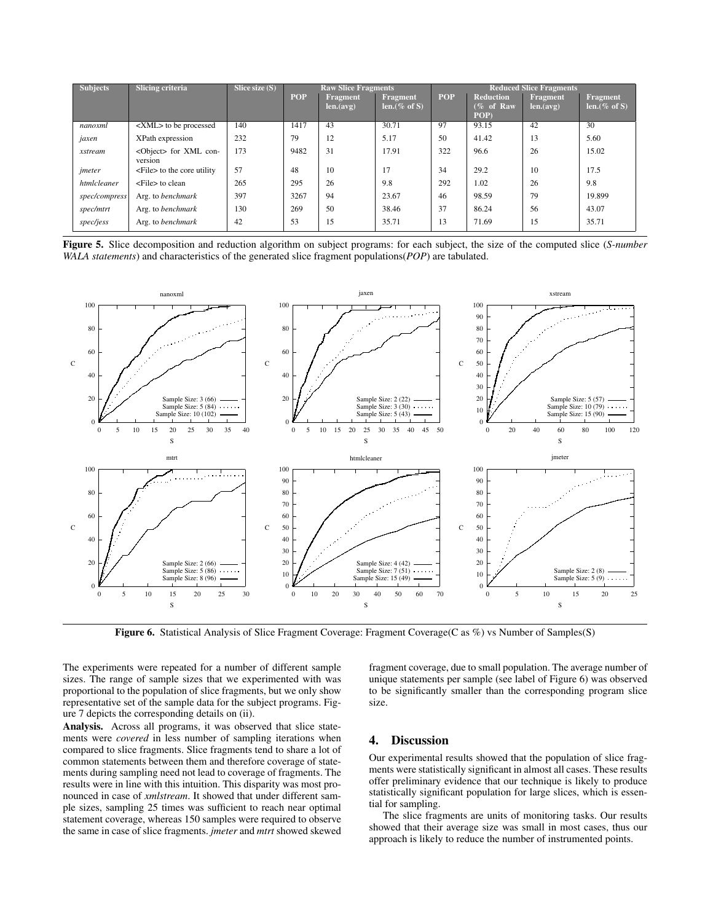| <b>Subjects</b> | <b>Slicing criteria</b>                    | Slice size $(S)$ | <b>Raw Slice Fragments</b> |                              |                                     | <b>Reduced Slice Fragments</b> |                                          |                       |                                     |
|-----------------|--------------------------------------------|------------------|----------------------------|------------------------------|-------------------------------------|--------------------------------|------------------------------------------|-----------------------|-------------------------------------|
|                 |                                            |                  | <b>POP</b>                 | <b>Fragment</b><br>len.(avg) | <b>Fragment</b><br>len. $(\%$ of S) | <b>POP</b>                     | <b>Reduction</b><br>$(\%$ of Raw<br>POP) | Fragment<br>len.(avg) | <b>Fragment</b><br>len. $(\%$ of S) |
| nanoxml         | <xml> to be processed</xml>                | 140              | 1417                       | 43                           | 30.71                               | 97                             | 93.15                                    | 42                    | 30                                  |
| jaxen           | XPath expression                           | 232              | 79                         | 12                           | 5.17                                | 50                             | 41.42                                    | 13                    | 5.60                                |
| xstream         | <object> for XML con-<br/>version</object> | 173              | 9482                       | 31                           | 17.91                               | 322                            | 96.6                                     | 26                    | 15.02                               |
| jmeter          | $\le$ File $>$ to the core utility         | 57               | 48                         | 10                           | 17                                  | 34                             | 29.2                                     | 10                    | 17.5                                |
| htmlcleaner     | <file> to clean</file>                     | 265              | 295                        | 26                           | 9.8                                 | 292                            | 1.02                                     | 26                    | 9.8                                 |
| spec/compress   | Arg. to benchmark                          | 397              | 3267                       | 94                           | 23.67                               | 46                             | 98.59                                    | 79                    | 19.899                              |
| spec/mtrt       | Arg. to benchmark                          | 130              | 269                        | 50                           | 38.46                               | 37                             | 86.24                                    | 56                    | 43.07                               |
| spec/jess       | Arg. to benchmark                          | 42               | 53                         | 15                           | 35.71                               | 13                             | 71.69                                    | 15                    | 35.71                               |

Figure 5. Slice decomposition and reduction algorithm on subject programs: for each subject, the size of the computed slice (*S-number WALA statements*) and characteristics of the generated slice fragment populations(*POP*) are tabulated.



Figure 6. Statistical Analysis of Slice Fragment Coverage: Fragment Coverage(C as %) vs Number of Samples(S)

The experiments were repeated for a number of different sample sizes. The range of sample sizes that we experimented with was proportional to the population of slice fragments, but we only show representative set of the sample data for the subject programs. Figure 7 depicts the corresponding details on (ii).

Analysis. Across all programs, it was observed that slice statements were *covered* in less number of sampling iterations when compared to slice fragments. Slice fragments tend to share a lot of common statements between them and therefore coverage of statements during sampling need not lead to coverage of fragments. The results were in line with this intuition. This disparity was most pronounced in case of *xmlstream*. It showed that under different sample sizes, sampling 25 times was sufficient to reach near optimal statement coverage, whereas 150 samples were required to observe the same in case of slice fragments. *jmeter* and *mtrt* showed skewed fragment coverage, due to small population. The average number of unique statements per sample (see label of Figure 6) was observed to be significantly smaller than the corresponding program slice size.

### 4. Discussion

Our experimental results showed that the population of slice fragments were statistically significant in almost all cases. These results offer preliminary evidence that our technique is likely to produce statistically significant population for large slices, which is essential for sampling.

The slice fragments are units of monitoring tasks. Our results showed that their average size was small in most cases, thus our approach is likely to reduce the number of instrumented points.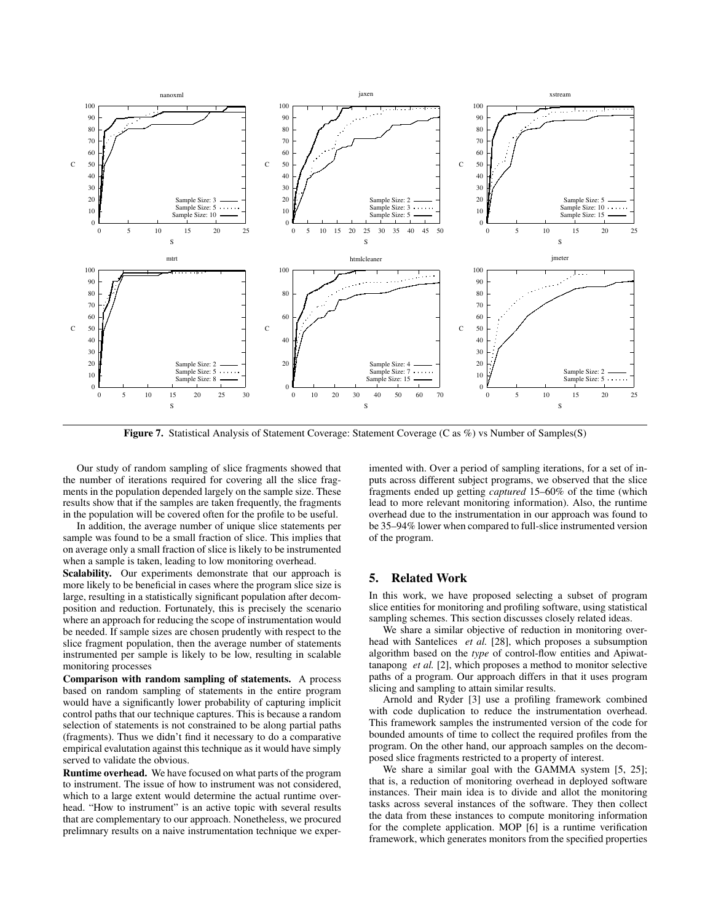

Figure 7. Statistical Analysis of Statement Coverage: Statement Coverage (C as %) vs Number of Samples(S)

Our study of random sampling of slice fragments showed that the number of iterations required for covering all the slice fragments in the population depended largely on the sample size. These results show that if the samples are taken frequently, the fragments in the population will be covered often for the profile to be useful.

In addition, the average number of unique slice statements per sample was found to be a small fraction of slice. This implies that on average only a small fraction of slice is likely to be instrumented when a sample is taken, leading to low monitoring overhead.

Scalability. Our experiments demonstrate that our approach is more likely to be beneficial in cases where the program slice size is large, resulting in a statistically significant population after decomposition and reduction. Fortunately, this is precisely the scenario where an approach for reducing the scope of instrumentation would be needed. If sample sizes are chosen prudently with respect to the slice fragment population, then the average number of statements instrumented per sample is likely to be low, resulting in scalable monitoring processes

Comparison with random sampling of statements. A process based on random sampling of statements in the entire program would have a significantly lower probability of capturing implicit control paths that our technique captures. This is because a random selection of statements is not constrained to be along partial paths (fragments). Thus we didn't find it necessary to do a comparative empirical evalutation against this technique as it would have simply served to validate the obvious.

Runtime overhead. We have focused on what parts of the program to instrument. The issue of how to instrument was not considered, which to a large extent would determine the actual runtime overhead. "How to instrument" is an active topic with several results that are complementary to our approach. Nonetheless, we procured prelimnary results on a naive instrumentation technique we experimented with. Over a period of sampling iterations, for a set of inputs across different subject programs, we observed that the slice fragments ended up getting *captured* 15–60% of the time (which lead to more relevant monitoring information). Also, the runtime overhead due to the instrumentation in our approach was found to be 35–94% lower when compared to full-slice instrumented version of the program.

# 5. Related Work

In this work, we have proposed selecting a subset of program slice entities for monitoring and profiling software, using statistical sampling schemes. This section discusses closely related ideas.

We share a similar objective of reduction in monitoring overhead with Santelices *et al.* [28], which proposes a subsumption algorithm based on the *type* of control-flow entities and Apiwattanapong *et al.* [2], which proposes a method to monitor selective paths of a program. Our approach differs in that it uses program slicing and sampling to attain similar results.

Arnold and Ryder [3] use a profiling framework combined with code duplication to reduce the instrumentation overhead. This framework samples the instrumented version of the code for bounded amounts of time to collect the required profiles from the program. On the other hand, our approach samples on the decomposed slice fragments restricted to a property of interest.

We share a similar goal with the GAMMA system [5, 25]; that is, a reduction of monitoring overhead in deployed software instances. Their main idea is to divide and allot the monitoring tasks across several instances of the software. They then collect the data from these instances to compute monitoring information for the complete application. MOP [6] is a runtime verification framework, which generates monitors from the specified properties